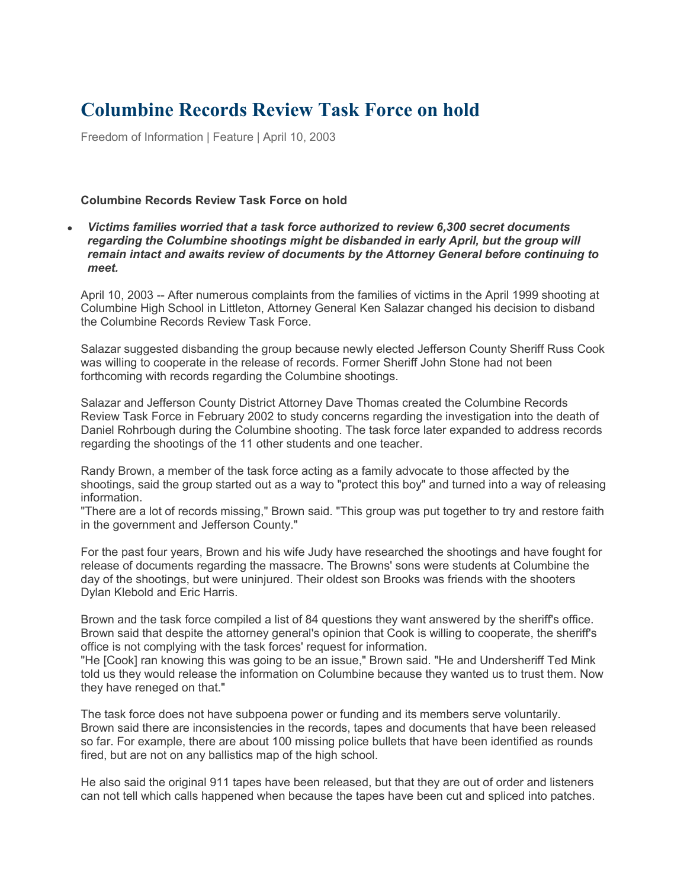## **Columbine Records Review Task Force on hold**

Freedom of Information | Feature | April 10, 2003

## **Columbine Records Review Task Force on hold**

• *Victims families worried that a task force authorized to review 6,300 secret documents regarding the Columbine shootings might be disbanded in early April, but the group will remain intact and awaits review of documents by the Attorney General before continuing to meet.*

April 10, 2003 -- After numerous complaints from the families of victims in the April 1999 shooting at Columbine High School in Littleton, Attorney General Ken Salazar changed his decision to disband the Columbine Records Review Task Force.

Salazar suggested disbanding the group because newly elected Jefferson County Sheriff Russ Cook was willing to cooperate in the release of records. Former Sheriff John Stone had not been forthcoming with records regarding the Columbine shootings.

Salazar and Jefferson County District Attorney Dave Thomas created the Columbine Records Review Task Force in February 2002 to study concerns regarding the investigation into the death of Daniel Rohrbough during the Columbine shooting. The task force later expanded to address records regarding the shootings of the 11 other students and one teacher.

Randy Brown, a member of the task force acting as a family advocate to those affected by the shootings, said the group started out as a way to "protect this boy" and turned into a way of releasing information.

"There are a lot of records missing," Brown said. "This group was put together to try and restore faith in the government and Jefferson County."

For the past four years, Brown and his wife Judy have researched the shootings and have fought for release of documents regarding the massacre. The Browns' sons were students at Columbine the day of the shootings, but were uninjured. Their oldest son Brooks was friends with the shooters Dylan Klebold and Eric Harris.

Brown and the task force compiled a list of 84 questions they want answered by the sheriff's office. Brown said that despite the attorney general's opinion that Cook is willing to cooperate, the sheriff's office is not complying with the task forces' request for information.

"He [Cook] ran knowing this was going to be an issue," Brown said. "He and Undersheriff Ted Mink told us they would release the information on Columbine because they wanted us to trust them. Now they have reneged on that."

The task force does not have subpoena power or funding and its members serve voluntarily. Brown said there are inconsistencies in the records, tapes and documents that have been released so far. For example, there are about 100 missing police bullets that have been identified as rounds fired, but are not on any ballistics map of the high school.

He also said the original 911 tapes have been released, but that they are out of order and listeners can not tell which calls happened when because the tapes have been cut and spliced into patches.